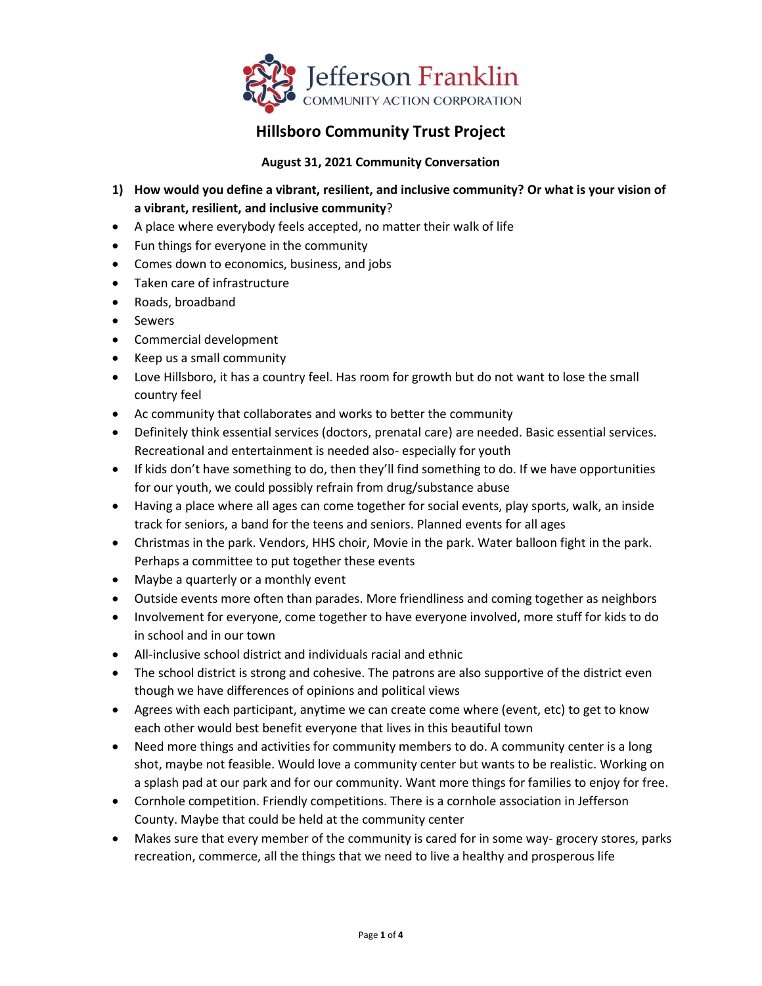

## **Hillsboro Community Trust Project**

## **August 31, 2021 Community Conversation**

- **1) How would you define a vibrant, resilient, and inclusive community? Or what is your vision of a vibrant, resilient, and inclusive community**?
- A place where everybody feels accepted, no matter their walk of life
- Fun things for everyone in the community
- Comes down to economics, business, and jobs
- Taken care of infrastructure
- Roads, broadband
- Sewers
- Commercial development
- Keep us a small community
- Love Hillsboro, it has a country feel. Has room for growth but do not want to lose the small country feel
- Ac community that collaborates and works to better the community
- Definitely think essential services (doctors, prenatal care) are needed. Basic essential services. Recreational and entertainment is needed also- especially for youth
- If kids don't have something to do, then they'll find something to do. If we have opportunities for our youth, we could possibly refrain from drug/substance abuse
- Having a place where all ages can come together for social events, play sports, walk, an inside track for seniors, a band for the teens and seniors. Planned events for all ages
- Christmas in the park. Vendors, HHS choir, Movie in the park. Water balloon fight in the park. Perhaps a committee to put together these events
- Maybe a quarterly or a monthly event
- Outside events more often than parades. More friendliness and coming together as neighbors
- Involvement for everyone, come together to have everyone involved, more stuff for kids to do in school and in our town
- All-inclusive school district and individuals racial and ethnic
- The school district is strong and cohesive. The patrons are also supportive of the district even though we have differences of opinions and political views
- Agrees with each participant, anytime we can create come where (event, etc) to get to know each other would best benefit everyone that lives in this beautiful town
- Need more things and activities for community members to do. A community center is a long shot, maybe not feasible. Would love a community center but wants to be realistic. Working on a splash pad at our park and for our community. Want more things for families to enjoy for free.
- Cornhole competition. Friendly competitions. There is a cornhole association in Jefferson County. Maybe that could be held at the community center
- Makes sure that every member of the community is cared for in some way- grocery stores, parks recreation, commerce, all the things that we need to live a healthy and prosperous life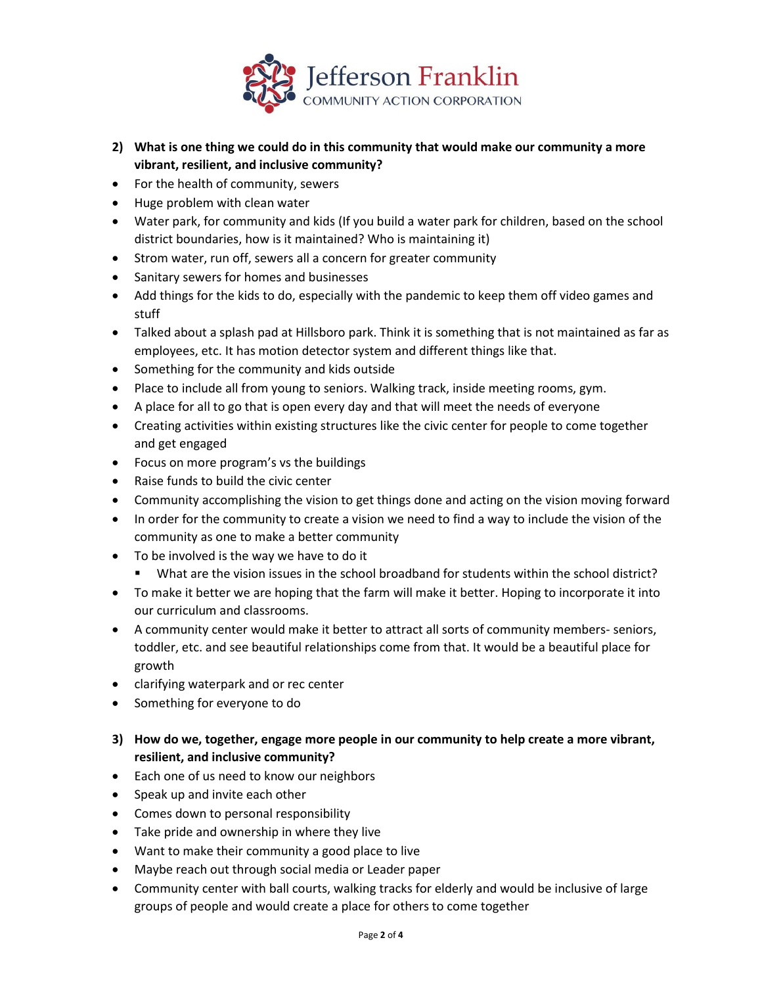

- **2) What is one thing we could do in this community that would make our community a more vibrant, resilient, and inclusive community?**
- For the health of community, sewers
- Huge problem with clean water
- Water park, for community and kids (If you build a water park for children, based on the school district boundaries, how is it maintained? Who is maintaining it)
- Strom water, run off, sewers all a concern for greater community
- Sanitary sewers for homes and businesses
- Add things for the kids to do, especially with the pandemic to keep them off video games and stuff
- Talked about a splash pad at Hillsboro park. Think it is something that is not maintained as far as employees, etc. It has motion detector system and different things like that.
- Something for the community and kids outside
- Place to include all from young to seniors. Walking track, inside meeting rooms, gym.
- A place for all to go that is open every day and that will meet the needs of everyone
- Creating activities within existing structures like the civic center for people to come together and get engaged
- Focus on more program's vs the buildings
- Raise funds to build the civic center
- Community accomplishing the vision to get things done and acting on the vision moving forward
- In order for the community to create a vision we need to find a way to include the vision of the community as one to make a better community
- To be involved is the way we have to do it
	- What are the vision issues in the school broadband for students within the school district?
- To make it better we are hoping that the farm will make it better. Hoping to incorporate it into our curriculum and classrooms.
- A community center would make it better to attract all sorts of community members- seniors, toddler, etc. and see beautiful relationships come from that. It would be a beautiful place for growth
- clarifying waterpark and or rec center
- Something for everyone to do
- **3) How do we, together, engage more people in our community to help create a more vibrant, resilient, and inclusive community?**
- Each one of us need to know our neighbors
- Speak up and invite each other
- Comes down to personal responsibility
- Take pride and ownership in where they live
- Want to make their community a good place to live
- Maybe reach out through social media or Leader paper
- Community center with ball courts, walking tracks for elderly and would be inclusive of large groups of people and would create a place for others to come together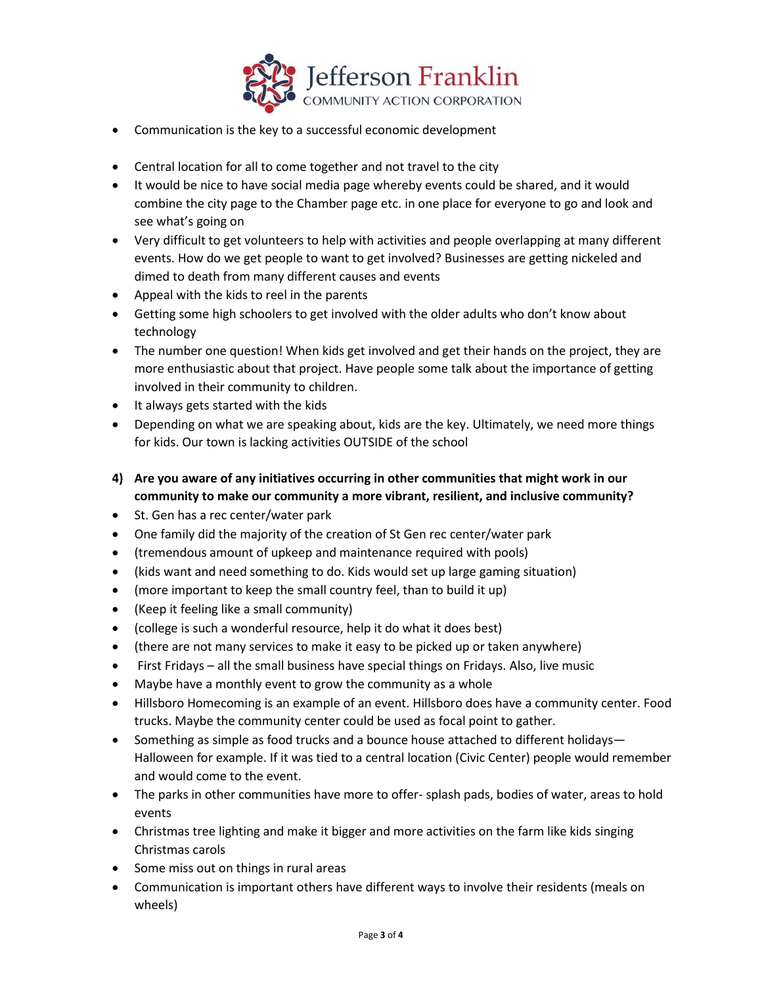

- Communication is the key to a successful economic development
- Central location for all to come together and not travel to the city
- It would be nice to have social media page whereby events could be shared, and it would combine the city page to the Chamber page etc. in one place for everyone to go and look and see what's going on
- Very difficult to get volunteers to help with activities and people overlapping at many different events. How do we get people to want to get involved? Businesses are getting nickeled and dimed to death from many different causes and events
- Appeal with the kids to reel in the parents
- Getting some high schoolers to get involved with the older adults who don't know about technology
- The number one question! When kids get involved and get their hands on the project, they are more enthusiastic about that project. Have people some talk about the importance of getting involved in their community to children.
- It always gets started with the kids
- Depending on what we are speaking about, kids are the key. Ultimately, we need more things for kids. Our town is lacking activities OUTSIDE of the school
- **4) Are you aware of any initiatives occurring in other communities that might work in our community to make our community a more vibrant, resilient, and inclusive community?**
- St. Gen has a rec center/water park
- One family did the majority of the creation of St Gen rec center/water park
- (tremendous amount of upkeep and maintenance required with pools)
- (kids want and need something to do. Kids would set up large gaming situation)
- (more important to keep the small country feel, than to build it up)
- (Keep it feeling like a small community)
- (college is such a wonderful resource, help it do what it does best)
- (there are not many services to make it easy to be picked up or taken anywhere)
- First Fridays all the small business have special things on Fridays. Also, live music
- Maybe have a monthly event to grow the community as a whole
- Hillsboro Homecoming is an example of an event. Hillsboro does have a community center. Food trucks. Maybe the community center could be used as focal point to gather.
- Something as simple as food trucks and a bounce house attached to different holidays— Halloween for example. If it was tied to a central location (Civic Center) people would remember and would come to the event.
- The parks in other communities have more to offer- splash pads, bodies of water, areas to hold events
- Christmas tree lighting and make it bigger and more activities on the farm like kids singing Christmas carols
- Some miss out on things in rural areas
- Communication is important others have different ways to involve their residents (meals on wheels)